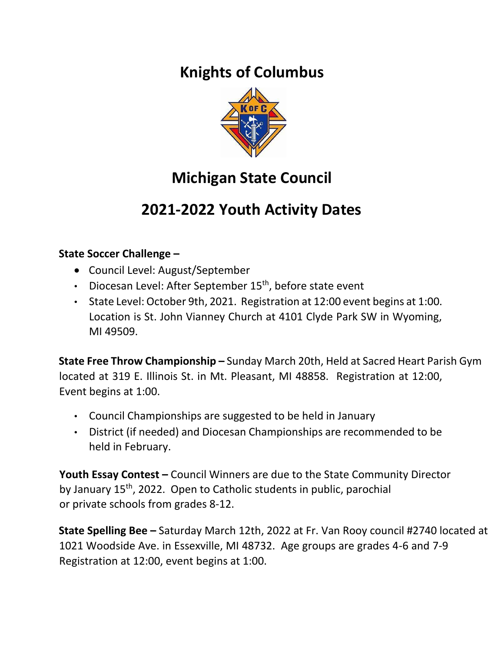## **Knights of Columbus**



# **Michigan State Council**

## **2021-2022 Youth Activity Dates**

#### **State Soccer Challenge –**

- Council Level: August/September
- Diocesan Level: After September 15<sup>th</sup>, before state event
- State Level: October 9th, 2021. Registration at 12:00 event begins at 1:00. Location is St. John Vianney Church at 4101 Clyde Park SW in Wyoming, MI 49509.

**State Free Throw Championship –** Sunday March 20th, Held at Sacred Heart Parish Gym located at 319 E. Illinois St. in Mt. Pleasant, MI 48858. Registration at 12:00, Event begins at 1:00.

- Council Championships are suggested to be held in January
- District (if needed) and Diocesan Championships are recommended to be held in February.

**Youth Essay Contest –** Council Winners are due to the State Community Director by January 15<sup>th</sup>, 2022. Open to Catholic students in public, parochial or private schools from grades 8-12.

**State Spelling Bee –** Saturday March 12th, 2022 at Fr. Van Rooy council #2740 located at 1021 Woodside Ave. in Essexville, MI 48732. Age groups are grades 4-6 and 7-9 Registration at 12:00, event begins at 1:00.